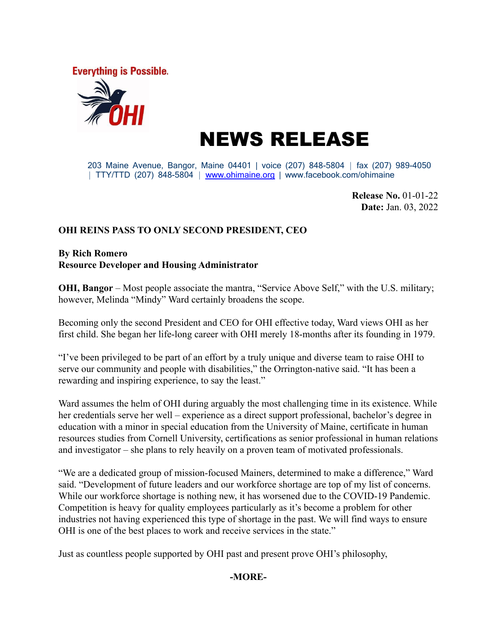**Everything is Possible.** 



# NEWS RELEASE

203 Maine Avenue, Bangor, Maine 04401 | voice (207) 848-5804 ⏐ fax (207) 989-4050 | TTY/TTD (207) 848-5804 | [www.ohimaine.org](http://www.ohimaine.org) | www.facebook.com/ohimaine

> **Release No.** 01-01-22 **Date:** Jan. 03, 2022

#### **OHI REINS PASS TO ONLY SECOND PRESIDENT, CEO**

#### **By Rich Romero Resource Developer and Housing Administrator**

**OHI, Bangor** – Most people associate the mantra, "Service Above Self," with the U.S. military; however, Melinda "Mindy" Ward certainly broadens the scope.

Becoming only the second President and CEO for OHI effective today, Ward views OHI as her first child. She began her life-long career with OHI merely 18-months after its founding in 1979.

"I've been privileged to be part of an effort by a truly unique and diverse team to raise OHI to serve our community and people with disabilities," the Orrington-native said. "It has been a rewarding and inspiring experience, to say the least."

Ward assumes the helm of OHI during arguably the most challenging time in its existence. While her credentials serve her well – experience as a direct support professional, bachelor's degree in education with a minor in special education from the University of Maine, certificate in human resources studies from Cornell University, certifications as senior professional in human relations and investigator – she plans to rely heavily on a proven team of motivated professionals.

"We are a dedicated group of mission-focused Mainers, determined to make a difference," Ward said. "Development of future leaders and our workforce shortage are top of my list of concerns. While our workforce shortage is nothing new, it has worsened due to the COVID-19 Pandemic. Competition is heavy for quality employees particularly as it's become a problem for other industries not having experienced this type of shortage in the past. We will find ways to ensure OHI is one of the best places to work and receive services in the state."

Just as countless people supported by OHI past and present prove OHI's philosophy,

## **-MORE-**